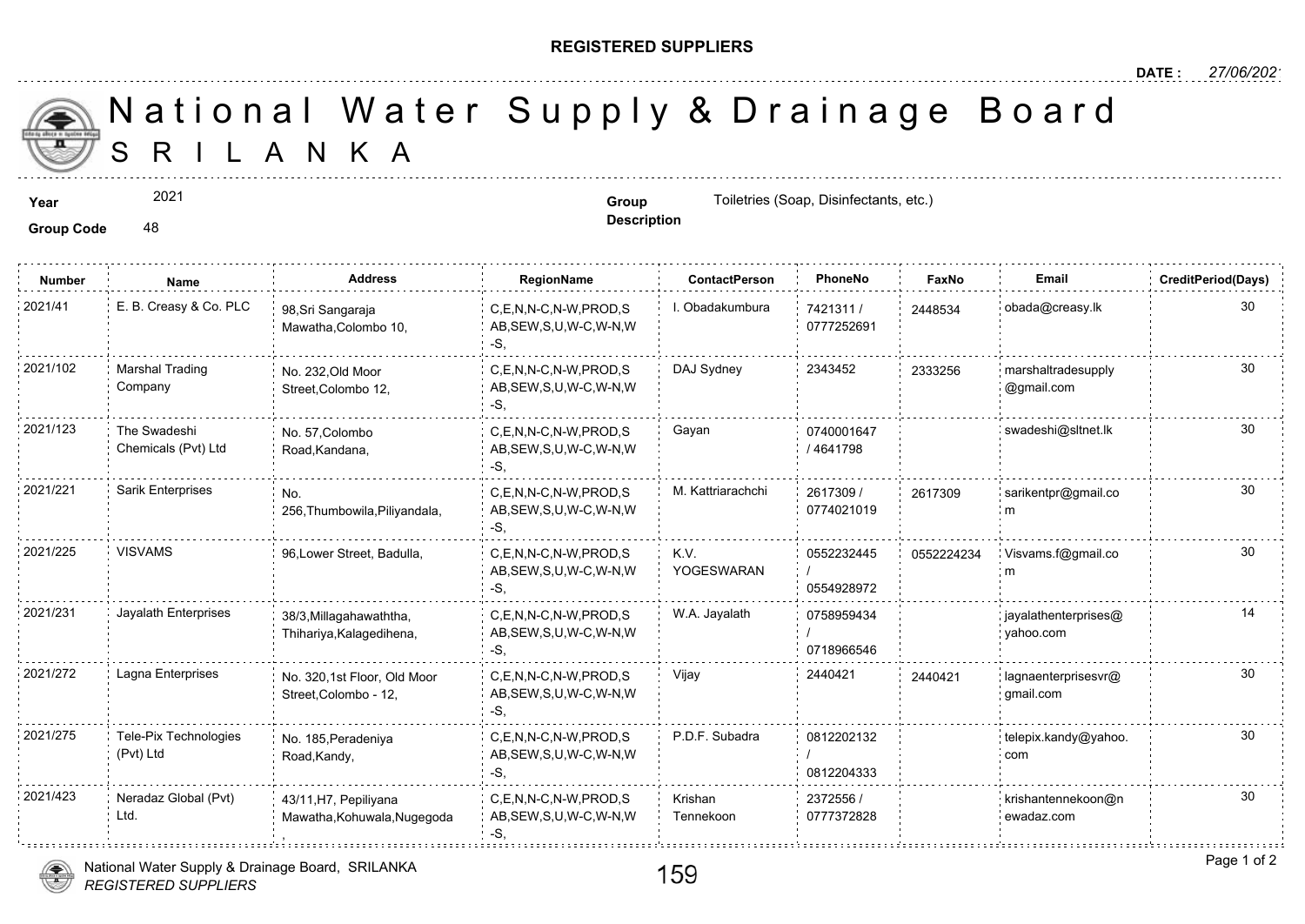## **REGISTERED SUPPLIERS**

 S R I L A N K A National Water Supply & Drainage

2021

Group Code 48

**Year Solution Group Group Group Toiletries (Soap, Disinfectants, etc.) Group Group Group Toiletries (Soap, Disinfectants, etc.)** 

**Description**

| <b>Number</b> | Name                                | <b>Address</b>                                       | <b>RegionName</b>                                            | <b>ContactPerson</b> | PhoneNo                  | Faxl   |
|---------------|-------------------------------------|------------------------------------------------------|--------------------------------------------------------------|----------------------|--------------------------|--------|
| 2021/41       | E. B. Creasy & Co. PLC              | 98, Sri Sangaraja<br>Mawatha, Colombo 10,            | C,E,N,N-C,N-W,PROD,S<br>AB, SEW, S, U, W-C, W-N, W<br>-S.    | I. Obadakumbura      | 7421311 /<br>0777252691  | 244853 |
| 2021/102      | <b>Marshal Trading</b><br>Company   | No. 232, Old Moor<br>Street, Colombo 12,             | C,E,N,N-C,N-W,PROD,S<br>AB, SEW, S, U, W-C, W-N, W<br>-S.    | DAJ Sydney           | 2343452                  | 233325 |
| 2021/123      | The Swadeshi<br>Chemicals (Pvt) Ltd | No. 57, Colombo<br>Road, Kandana,                    | C.E.N.N-C.N-W.PROD.S<br>AB, SEW, S, U, W-C, W-N, W<br>$-S$ . | Gayan                | 0740001647<br>/ 4641798  |        |
| 2021/221      | Sarik Enterprises                   | No.<br>256, Thumbowila, Piliyandala,                 | C,E,N,N-C,N-W,PROD,S<br>AB, SEW, S, U, W-C, W-N, W<br>-S.    | M. Kattriarachchi    | 2617309 /<br>0774021019  | 261730 |
| 2021/225      | <b>VISVAMS</b>                      | 96, Lower Street, Badulla,                           | C,E,N,N-C,N-W,PROD,S<br>AB, SEW, S, U, W-C, W-N, W<br>-S.    | K.V.<br>YOGESWARAN   | 0552232445<br>0554928972 | 055222 |
| 2021/231      | Jayalath Enterprises                | 38/3, Millagahawaththa,<br>Thihariya, Kalagedihena,  | C,E,N,N-C,N-W,PROD,S<br>AB, SEW, S, U, W-C, W-N, W<br>-S.    | W.A. Jayalath        | 0758959434<br>0718966546 |        |
| 2021/272      | Lagna Enterprises                   | No. 320,1st Floor, Old Moor<br>Street, Colombo - 12, | C,E,N,N-C,N-W,PROD,S<br>AB, SEW, S, U, W-C, W-N, W<br>-S,    | Vijay                | 2440421                  | 244042 |
| 2021/275      | Tele-Pix Technologies<br>(Pvt) Ltd  | No. 185, Peradeniya<br>Road, Kandy,                  | C.E.N.N-C.N-W.PROD.S<br>AB, SEW, S, U, W-C, W-N, W<br>-S.    | P.D.F. Subadra       | 0812202132<br>0812204333 |        |
| 2021/423      | Neradaz Global (Pvt)<br>Ltd.        | 43/11, H7, Pepiliyana<br>Mawatha, Kohuwala, Nugegoda | C,E,N,N-C,N-W,PROD,S<br>AB, SEW, S, U, W-C, W-N, W<br>-S.    | Krishan<br>Tennekoon | 2372556 /<br>0777372828  |        |